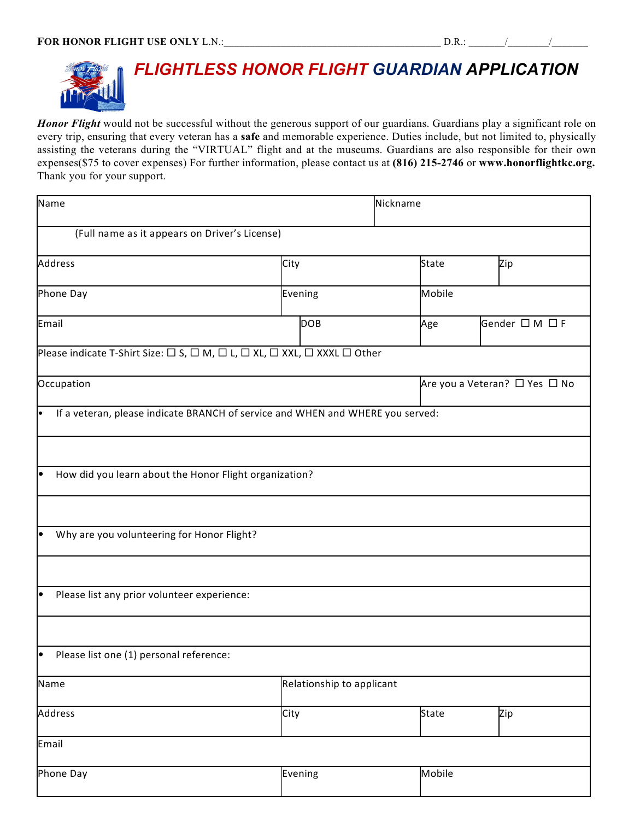

*Honor Flight* would not be successful without the generous support of our guardians. Guardians play a significant role on every trip, ensuring that every veteran has a **safe** and memorable experience. Duties include, but not limited to, physically assisting the veterans during the "VIRTUAL" flight and at the museums. Guardians are also responsible for their own expenses(\$75 to cover expenses) For further information, please contact us at **(816) 215-2746** or **www.honorflightkc.org.** Thank you for your support.

| Name                                                                           | Nickname                  |              |                |                               |  |  |
|--------------------------------------------------------------------------------|---------------------------|--------------|----------------|-------------------------------|--|--|
| (Full name as it appears on Driver's License)                                  |                           |              |                |                               |  |  |
| Address                                                                        | City                      | <b>State</b> |                | Zip                           |  |  |
| Phone Day                                                                      | Evening                   |              | Mobile         |                               |  |  |
| Email                                                                          | <b>DOB</b>                | Age          | Gender □ M □ F |                               |  |  |
| Please indicate T-Shirt Size: □ S, □ M, □ L, □ XL, □ XXL, □ XXXL □ Other       |                           |              |                |                               |  |  |
| Occupation                                                                     |                           |              |                | Are you a Veteran? □ Yes □ No |  |  |
| If a veteran, please indicate BRANCH of service and WHEN and WHERE you served: |                           |              |                |                               |  |  |
|                                                                                |                           |              |                |                               |  |  |
| How did you learn about the Honor Flight organization?<br>$\bullet$            |                           |              |                |                               |  |  |
|                                                                                |                           |              |                |                               |  |  |
| Why are you volunteering for Honor Flight?                                     |                           |              |                |                               |  |  |
|                                                                                |                           |              |                |                               |  |  |
| Please list any prior volunteer experience:                                    |                           |              |                |                               |  |  |
|                                                                                |                           |              |                |                               |  |  |
| Please list one (1) personal reference:                                        |                           |              |                |                               |  |  |
| Name                                                                           | Relationship to applicant |              |                |                               |  |  |
| Address                                                                        | City                      | <b>State</b> |                | Zip                           |  |  |
| Email                                                                          |                           |              |                |                               |  |  |
| Phone Day                                                                      | Evening                   |              | Mobile         |                               |  |  |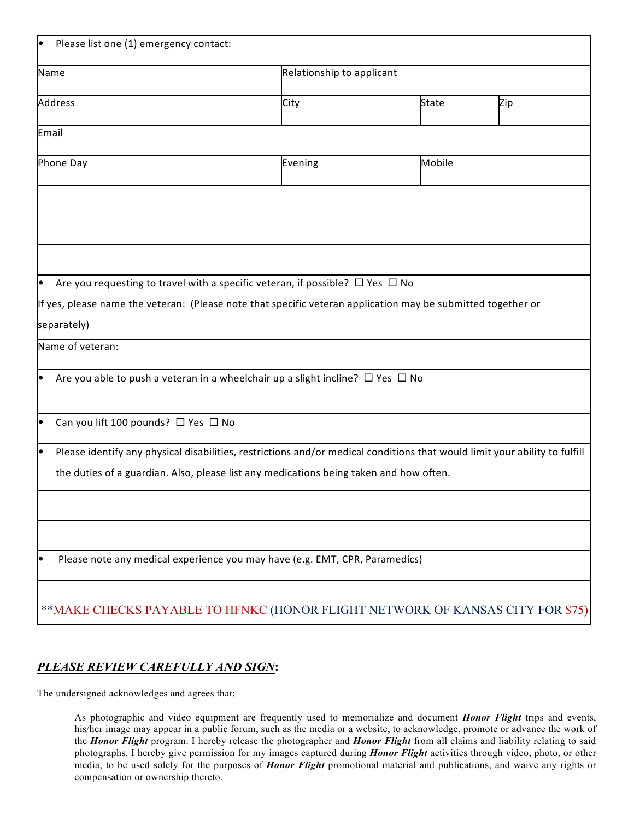| Please list one (1) emergency contact:                                                                                           |         |              |     |  |
|----------------------------------------------------------------------------------------------------------------------------------|---------|--------------|-----|--|
| Name                                                                                                                             |         |              |     |  |
| Address                                                                                                                          | City    | <b>State</b> | Zip |  |
| Email                                                                                                                            |         |              |     |  |
| Phone Day                                                                                                                        | Evening | Mobile       |     |  |
|                                                                                                                                  |         |              |     |  |
|                                                                                                                                  |         |              |     |  |
|                                                                                                                                  |         |              |     |  |
| Are you requesting to travel with a specific veteran, if possible? $\Box$ Yes $\Box$ No<br>le                                    |         |              |     |  |
| If yes, please name the veteran: (Please note that specific veteran application may be submitted together or                     |         |              |     |  |
| separately)                                                                                                                      |         |              |     |  |
| Name of veteran:                                                                                                                 |         |              |     |  |
| Are you able to push a veteran in a wheelchair up a slight incline? $\Box$ Yes $\Box$ No                                         |         |              |     |  |
| Can you lift 100 pounds? □ Yes □ No                                                                                              |         |              |     |  |
| Please identify any physical disabilities, restrictions and/or medical conditions that would limit your ability to fulfill<br>lo |         |              |     |  |
| the duties of a guardian. Also, please list any medications being taken and how often.                                           |         |              |     |  |
|                                                                                                                                  |         |              |     |  |
|                                                                                                                                  |         |              |     |  |
| Please note any medical experience you may have (e.g. EMT, CPR, Paramedics)                                                      |         |              |     |  |
| ** MAKE CHECKS PAYABLE TO HFNKC (HONOR FLIGHT NETWORK OF KANSAS CITY FOR \$75)                                                   |         |              |     |  |

## *PLEASE REVIEW CAREFULLY AND SIGN***:**

The undersigned acknowledges and agrees that:

As photographic and video equipment are frequently used to memorialize and document *Honor Flight* trips and events, his/her image may appear in a public forum, such as the media or a website, to acknowledge, promote or advance the work of the *Honor Flight* program. I hereby release the photographer and *Honor Flight* from all claims and liability relating to said photographs. I hereby give permission for my images captured during *Honor Flight* activities through video, photo, or other media, to be used solely for the purposes of *Honor Flight* promotional material and publications, and waive any rights or compensation or ownership thereto.